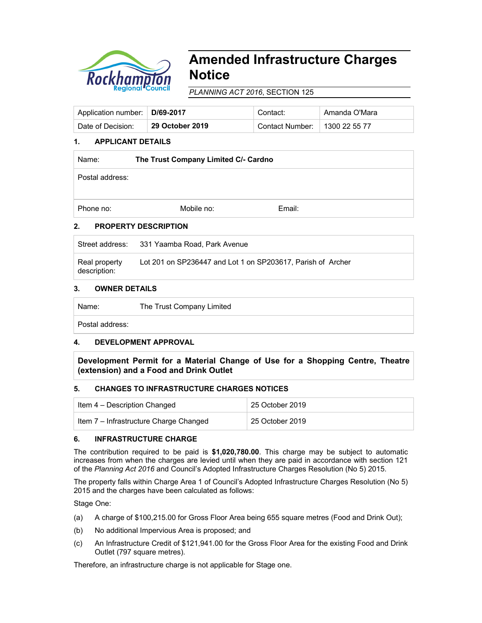

# **Amended Infrastructure Charges Notice**

*PLANNING ACT 2016*, SECTION 125

| Application number:   D/69-2017 |                 | Contact:                        | Amanda O'Mara |
|---------------------------------|-----------------|---------------------------------|---------------|
| Date of Decision:               | 29 October 2019 | Contact Number:   1300 22 55 77 |               |

# **1. APPLICANT DETAILS**

| Name:           | The Trust Company Limited C/- Cardno |        |  |  |
|-----------------|--------------------------------------|--------|--|--|
| Postal address: |                                      |        |  |  |
| Phone no:       | Mobile no:                           | Email: |  |  |

# **2. PROPERTY DESCRIPTION**

Street address: 331 Yaamba Road, Park Avenue

Real property description: Lot 201 on SP236447 and Lot 1 on SP203617, Parish of Archer

## **3. OWNER DETAILS**

Name: The Trust Company Limited Postal address:

## **4. DEVELOPMENT APPROVAL**

**Development Permit for a Material Change of Use for a Shopping Centre, Theatre (extension) and a Food and Drink Outlet**

## **5. CHANGES TO INFRASTRUCTURE CHARGES NOTICES**

| Item 4 – Description Changed           | 25 October 2019 |
|----------------------------------------|-----------------|
| Item 7 - Infrastructure Charge Changed | 25 October 2019 |

## **6. INFRASTRUCTURE CHARGE**

The contribution required to be paid is **\$1,020,780.00**. This charge may be subject to automatic increases from when the charges are levied until when they are paid in accordance with section 121 of the *Planning Act 2016* and Council's Adopted Infrastructure Charges Resolution (No 5) 2015.

The property falls within Charge Area 1 of Council's Adopted Infrastructure Charges Resolution (No 5) 2015 and the charges have been calculated as follows:

Stage One:

- (a) A charge of \$100,215.00 for Gross Floor Area being 655 square metres (Food and Drink Out);
- (b) No additional Impervious Area is proposed; and
- (c) An Infrastructure Credit of \$121,941.00 for the Gross Floor Area for the existing Food and Drink Outlet (797 square metres).

Therefore, an infrastructure charge is not applicable for Stage one.